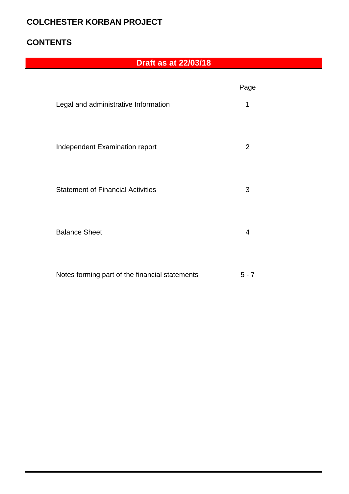### **COLCHESTER KORBAN PROJECT**

### **CONTENTS**

## **Draft as at 22/03/18**

|                                          | Page |
|------------------------------------------|------|
| Legal and administrative Information     | 1    |
| Independent Examination report           | 2    |
| <b>Statement of Financial Activities</b> | 3    |
| <b>Balance Sheet</b>                     | 4    |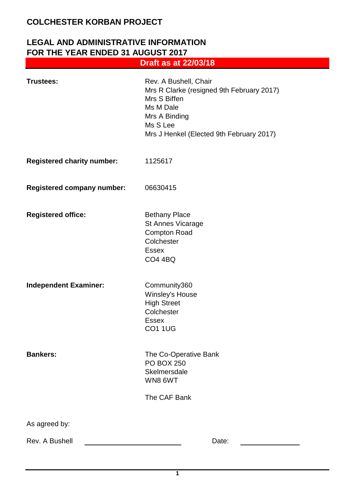### **LEGAL AND ADMINISTRATIVE INFORMATION FOR THE YEAR ENDED 31 AUGUST 2017 Draft as at 22/03/18**

| <b>Trustees:</b>                  | Rev. A Bushell, Chair<br>Mrs R Clarke (resigned 9th February 2017)<br>Mrs S Biffen<br>Ms M Dale<br>Mrs A Binding<br>Ms S Lee<br>Mrs J Henkel (Elected 9th February 2017) |
|-----------------------------------|--------------------------------------------------------------------------------------------------------------------------------------------------------------------------|
| <b>Registered charity number:</b> | 1125617                                                                                                                                                                  |
| <b>Registered company number:</b> | 06630415                                                                                                                                                                 |
| <b>Registered office:</b>         | <b>Bethany Place</b><br>St Annes Vicarage<br><b>Compton Road</b><br>Colchester<br><b>Essex</b><br><b>CO4 4BQ</b>                                                         |
| <b>Independent Examiner:</b>      | Community360<br><b>Winsley's House</b><br><b>High Street</b><br>Colchester<br><b>Essex</b><br><b>CO1 1UG</b>                                                             |
| <b>Bankers:</b>                   | The Co-Operative Bank<br><b>PO BOX 250</b><br>Skelmersdale<br>WN86WT<br>The CAF Bank                                                                                     |
| As agreed by:                     |                                                                                                                                                                          |
| Rev. A Bushell                    | Date:                                                                                                                                                                    |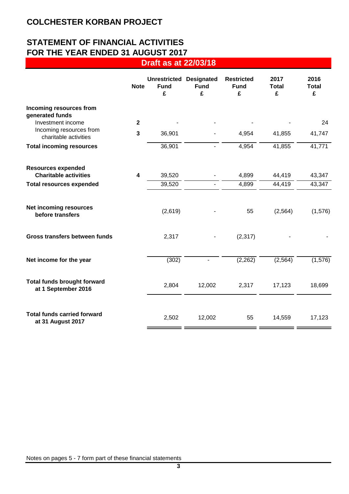## **STATEMENT OF FINANCIAL ACTIVITIES FOR THE YEAR ENDED 31 AUGUST 2017**

**Draft as at 22/03/18**

|                                                           | <b>Note</b>             | <b>Unrestricted</b><br><b>Fund</b><br>£ | <b>Designated</b><br><b>Fund</b><br>£ | <b>Restricted</b><br><b>Fund</b><br>£ | 2017<br><b>Total</b><br>£ | 2016<br><b>Total</b><br>£ |
|-----------------------------------------------------------|-------------------------|-----------------------------------------|---------------------------------------|---------------------------------------|---------------------------|---------------------------|
| Incoming resources from<br>generated funds                |                         |                                         |                                       |                                       |                           |                           |
| Investment income                                         | $\mathbf{2}$            |                                         |                                       |                                       |                           | 24                        |
| Incoming resources from<br>charitable activities          | $\mathbf{3}$            | 36,901                                  |                                       | 4,954                                 | 41,855                    | 41,747                    |
| <b>Total incoming resources</b>                           |                         | 36,901                                  | $\blacksquare$                        | 4,954                                 | 41,855                    | 41,771                    |
| <b>Resources expended</b>                                 |                         |                                         |                                       |                                       |                           |                           |
| <b>Charitable activities</b>                              | $\overline{\mathbf{4}}$ | 39,520                                  |                                       | 4,899                                 | 44,419                    | 43,347                    |
| <b>Total resources expended</b>                           |                         | 39,520                                  |                                       | 4,899                                 | 44,419                    | 43,347                    |
| <b>Net incoming resources</b><br>before transfers         |                         | (2,619)                                 |                                       | 55                                    | (2, 564)                  | (1,576)                   |
| Gross transfers between funds                             |                         | 2,317                                   |                                       | (2, 317)                              |                           |                           |
| Net income for the year                                   |                         | (302)                                   |                                       | (2, 262)                              | (2, 564)                  | (1, 576)                  |
| <b>Total funds brought forward</b><br>at 1 September 2016 |                         | 2,804                                   | 12,002                                | 2,317                                 | 17,123                    | 18,699                    |
| <b>Total funds carried forward</b><br>at 31 August 2017   |                         | 2,502                                   | 12,002                                | 55                                    | 14,559                    | 17,123                    |

Notes on pages 5 - 7 form part of these financial statements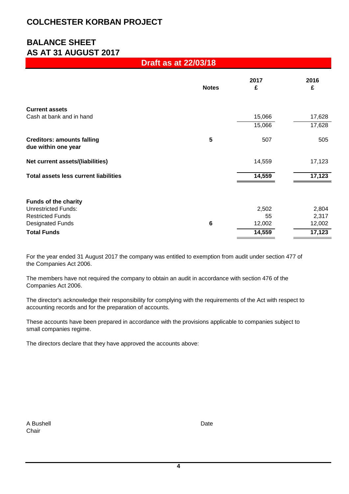### **COLCHESTER KORBAN PROJECT**

## **BALANCE SHEET AS AT 31 AUGUST 2017**

### **Draft as at 22/03/18**

|                                                          | <b>Notes</b>   | 2017<br>£ | 2016<br>£ |
|----------------------------------------------------------|----------------|-----------|-----------|
| <b>Current assets</b>                                    |                |           |           |
| Cash at bank and in hand                                 |                | 15,066    | 17,628    |
|                                                          |                | 15,066    | 17,628    |
| <b>Creditors: amounts falling</b><br>due within one year | 5              | 507       | 505       |
| Net current assets/(liabilities)                         |                | 14,559    | 17,123    |
| <b>Total assets less current liabilities</b>             |                | 14,559    | 17,123    |
| <b>Funds of the charity</b>                              |                |           |           |
| <b>Unrestricted Funds:</b>                               |                | 2,502     | 2,804     |
| <b>Restricted Funds</b>                                  |                | 55        | 2,317     |
| <b>Designated Funds</b>                                  | $6\phantom{1}$ | 12,002    | 12,002    |
| <b>Total Funds</b>                                       |                | 14,559    | 17,123    |

For the year ended 31 August 2017 the company was entitled to exemption from audit under section 477 of the Companies Act 2006.

The members have not required the company to obtain an audit in accordance with section 476 of the Companies Act 2006.

The director's acknowledge their responsibility for complying with the requirements of the Act with respect to accounting records and for the preparation of accounts.

These accounts have been prepared in accordance with the provisions applicable to companies subject to small companies regime.

The directors declare that they have approved the accounts above:

| A Bushell | Date |
|-----------|------|
| Chair     |      |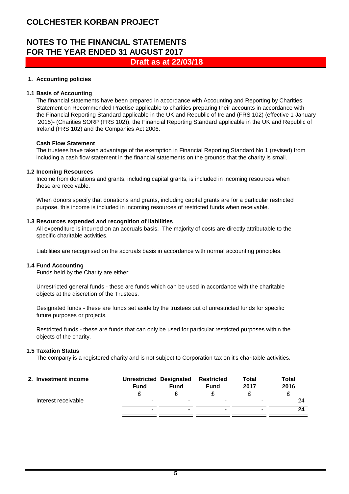### **COLCHESTER KORBAN PROJECT**

### **NOTES TO THE FINANCIAL STATEMENTS FOR THE YEAR ENDED 31 AUGUST 2017 Draft as at 22/03/18**

#### **1. Accounting policies**

#### **1.1 Basis of Accounting**

The financial statements have been prepared in accordance with Accounting and Reporting by Charities: Statement on Recommended Practise applicable to charities preparing their accounts in accordance with the Financial Reporting Standard applicable in the UK and Republic of Ireland (FRS 102) (effective 1 January 2015)- (Charities SORP (FRS 102)), the Financial Reporting Standard applicable in the UK and Republic of Ireland (FRS 102) and the Companies Act 2006.

#### **Cash Flow Statement**

The trustees have taken advantage of the exemption in Financial Reporting Standard No 1 (revised) from including a cash flow statement in the financial statements on the grounds that the charity is small.

#### **1.2 Incoming Resources**

Income from donations and grants, including capital grants, is included in incoming resources when these are receivable.

When donors specify that donations and grants, including capital grants are for a particular restricted purpose, this income is included in incoming resources of restricted funds when receivable.

#### **1.3 Resources expended and recognition of liabilities**

All expenditure is incurred on an accruals basis. The majority of costs are directly attributable to the specific charitable activities.

Liabilities are recognised on the accruals basis in accordance with normal accounting principles.

#### **1.4 Fund Accounting**

Funds held by the Charity are either:

Unrestricted general funds - these are funds which can be used in accordance with the charitable objects at the discretion of the Trustees.

Designated funds - these are funds set aside by the trustees out of unrestricted funds for specific future purposes or projects.

Restricted funds - these are funds that can only be used for particular restricted purposes within the objects of the charity.

#### **1.5 Taxation Status**

The company is a registered charity and is not subject to Corporation tax on it's charitable activities.

| 2. Investment income | <b>Unrestricted Designated</b><br><b>Fund</b> | <b>Fund</b> | <b>Restricted</b><br><b>Fund</b> | <b>Total</b><br>2017 | Total<br>2016 |
|----------------------|-----------------------------------------------|-------------|----------------------------------|----------------------|---------------|
| Interest receivable  |                                               |             | -                                | -                    | 24            |
|                      |                                               |             | $\blacksquare$                   | ٠                    | 24            |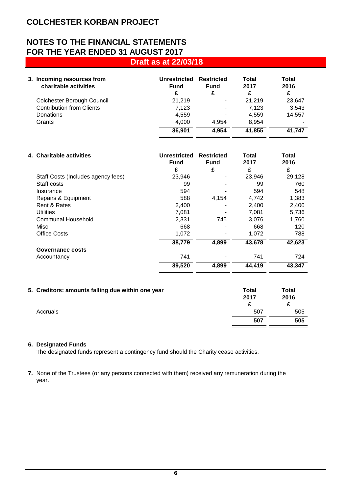# **NOTES TO THE FINANCIAL STATEMENTS FOR THE YEAR ENDED 31 AUGUST 2017**

| <b>Draft as at 22/03/18</b> |
|-----------------------------|
|-----------------------------|

| 3. Incoming resources from<br>charitable activities | Unrestricted<br><b>Fund</b><br>£ | <b>Restricted</b><br><b>Fund</b><br>£ | Total<br>2017<br>£ | <b>Total</b><br>2016<br>£ |
|-----------------------------------------------------|----------------------------------|---------------------------------------|--------------------|---------------------------|
| Colchester Borough Council                          | 21.219                           | $\overline{\phantom{a}}$              | 21.219             | 23.647                    |
| <b>Contribution from Clients</b>                    | 7.123                            | $\blacksquare$                        | 7.123              | 3,543                     |
| <b>Donations</b>                                    | 4.559                            | $\overline{\phantom{0}}$              | 4.559              | 14.557                    |
| Grants                                              | 4.000                            | 4.954                                 | 8.954              |                           |
|                                                     | 36,901                           | 4,954                                 | 41,855             | 41.747                    |
|                                                     |                                  |                                       |                    |                           |

| 4. Charitable activities           | Unrestricted<br><b>Fund</b><br>£ | <b>Restricted</b><br><b>Fund</b><br>£ | Total<br>2017<br>£ | Total<br>2016<br>£ |
|------------------------------------|----------------------------------|---------------------------------------|--------------------|--------------------|
| Staff Costs (Includes agency fees) | 23,946                           |                                       | 23,946             | 29,128             |
| Staff costs                        | 99                               |                                       | 99                 | 760                |
| Insurance                          | 594                              |                                       | 594                | 548                |
| Repairs & Equipment                | 588                              | 4,154                                 | 4,742              | 1,383              |
| Rent & Rates                       | 2,400                            |                                       | 2,400              | 2,400              |
| <b>Utilities</b>                   | 7,081                            |                                       | 7,081              | 5,736              |
| Communal Household                 | 2,331                            | 745                                   | 3,076              | 1,760              |
| Misc                               | 668                              |                                       | 668                | 120                |
| Office Costs                       | 1,072                            |                                       | 1,072              | 788                |
|                                    | 38,779                           | 4,899                                 | 43,678             | 42,623             |
| Governance costs                   |                                  |                                       |                    |                    |
| Accountancy                        | 741                              |                                       | 741                | 724                |
|                                    | 39,520                           | 4,899                                 | 44,419             | 43,347             |
|                                    |                                  |                                       |                    |                    |

| 5. Creditors: amounts falling due within one year | Total<br>2017 | Total<br>2016<br>£ |
|---------------------------------------------------|---------------|--------------------|
| Accruals                                          | 507           | 505                |
|                                                   | 507           | 505                |

### **6. Designated Funds**

The designated funds represent a contingency fund should the Charity cease activities.

**7.** None of the Trustees (or any persons connected with them) received any remuneration during the year.